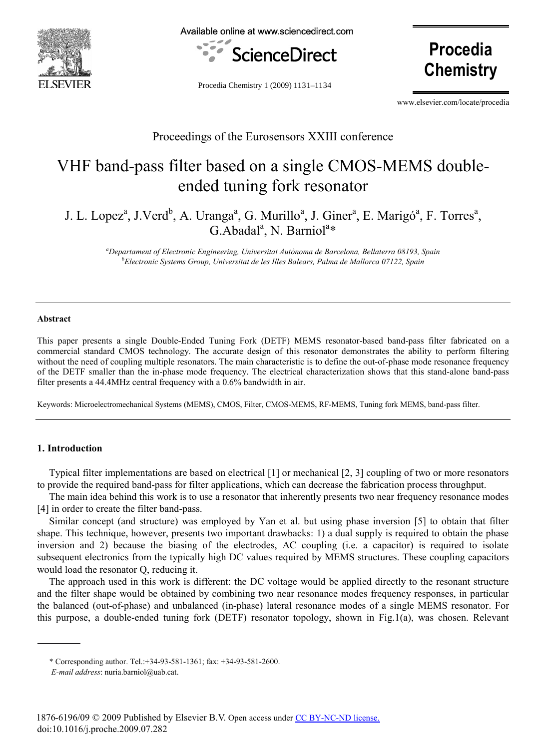

Available online at www.sciencedirect.com



Procedia Chemistry 1 (2009) 1131–1134

**Procedia Chemistry** 

www.elsevier.com/locate/procedia

## Proceedings of the Eurosensors XXIII conference

# VHF band-pass filter based on a single CMOS-MEMS doubleended tuning fork resonator

J. L. Lopez<sup>a</sup>, J.Verd<sup>b</sup>, A. Uranga<sup>a</sup>, G. Murillo<sup>a</sup>, J. Giner<sup>a</sup>, E. Marigó<sup>a</sup>, F. Torres<sup>a</sup>, G.Abadal<sup>a</sup>, N. Barniol<sup>a\*</sup>

*a Departament of Electronic Engineering, Universitat Autònoma de Barcelona, Bellaterra 08193, Spain b Electronic Systems Group, Universitat de les Illes Balears, Palma de Mallorca 07122, Spain* 

#### **Abstract**

This paper presents a single Double-Ended Tuning Fork (DETF) MEMS resonator-based band-pass filter fabricated on a commercial standard CMOS technology. The accurate design of this resonator demonstrates the ability to perform filtering without the need of coupling multiple resonators. The main characteristic is to define the out-of-phase mode resonance frequency of the DETF smaller than the in-phase mode frequency. The electrical characterization shows that this stand-alone band-pass filter presents a 44.4MHz central frequency with a 0.6% bandwidth in air.

Keywords: Microelectromechanical Systems (MEMS), CMOS, Filter, CMOS-MEMS, RF-MEMS, Tuning fork MEMS, band-pass filter.

#### **1. Introduction**

Typical filter implementations are based on electrical [1] or mechanical [2, 3] coupling of two or more resonators to provide the required band-pass for filter applications, which can decrease the fabrication process throughput.

The main idea behind this work is to use a resonator that inherently presents two near frequency resonance modes [4] in order to create the filter band-pass.

Similar concept (and structure) was employed by Yan et al. but using phase inversion [5] to obtain that filter shape. This technique, however, presents two important drawbacks: 1) a dual supply is required to obtain the phase inversion and 2) because the biasing of the electrodes, AC coupling (i.e. a capacitor) is required to isolate subsequent electronics from the typically high DC values required by MEMS structures. These coupling capacitors would load the resonator Q, reducing it.

The approach used in this work is different: the DC voltage would be applied directly to the resonant structure and the filter shape would be obtained by combining two near resonance modes frequency responses, in particular the balanced (out-of-phase) and unbalanced (in-phase) lateral resonance modes of a single MEMS resonator. For this purpose, a double-ended tuning fork (DETF) resonator topology, shown in Fig.1(a), was chosen. Relevant

<sup>\*</sup> Corresponding author. Tel.:+34-93-581-1361; fax: +34-93-581-2600.

*E-mail address*: nuria.barniol@uab.cat.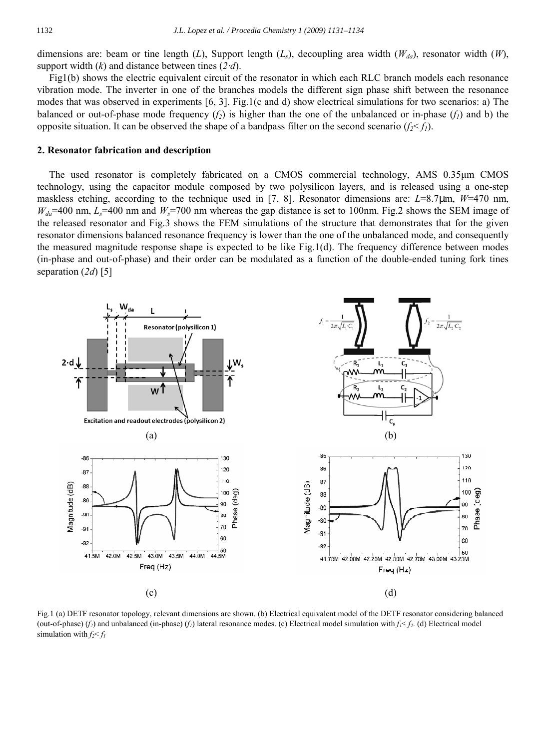dimensions are: beam or tine length (*L*), Support length (*L<sub>s</sub>*), decoupling area width (*W<sub>da</sub>*), resonator width (*W*), support width (*k*) and distance between tines (*2·d*).

Fig1(b) shows the electric equivalent circuit of the resonator in which each RLC branch models each resonance vibration mode. The inverter in one of the branches models the different sign phase shift between the resonance modes that was observed in experiments [6, 3]. Fig.1(c and d) show electrical simulations for two scenarios: a) The balanced or out-of-phase mode frequency  $(f_2)$  is higher than the one of the unbalanced or in-phase  $(f_1)$  and b) the opposite situation. It can be observed the shape of a bandpass filter on the second scenario  $(f_2 < f_1)$ .

#### **2. Resonator fabrication and description**

The used resonator is completely fabricated on a CMOS commercial technology, AMS 0.35µm CMOS technology, using the capacitor module composed by two polysilicon layers, and is released using a one-step maskless etching, according to the technique used in [7, 8]. Resonator dimensions are: *L*=8.7 m, *W*=470 nm,  $W_{da}$ =400 nm,  $L_s$ =400 nm and  $W_s$ =700 nm whereas the gap distance is set to 100nm. Fig. 2 shows the SEM image of the released resonator and Fig.3 shows the FEM simulations of the structure that demonstrates that for the given resonator dimensions balanced resonance frequency is lower than the one of the unbalanced mode, and consequently the measured magnitude response shape is expected to be like Fig.1(d). The frequency difference between modes (in-phase and out-of-phase) and their order can be modulated as a function of the double-ended tuning fork tines separation (*2d*) [5]



Fig.1 (a) DETF resonator topology, relevant dimensions are shown. (b) Electrical equivalent model of the DETF resonator considering balanced (out-of-phase) (*f<sub>i</sub>*) and unbalanced (in-phase) (*f<sub>i</sub>*) lateral resonance modes. (c) Electrical model simulation with  $f_1 < f_2$ . (d) Electrical model simulation with  $f_2 \leq f_1$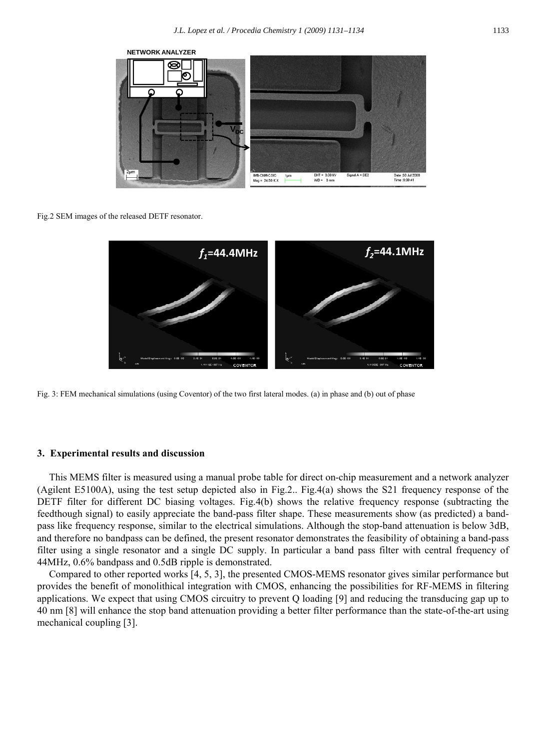

Fig.2 SEM images of the released DETF resonator.



Fig. 3: FEM mechanical simulations (using Coventor) of the two first lateral modes. (a) in phase and (b) out of phase

#### **3. Experimental results and discussion**

This MEMS filter is measured using a manual probe table for direct on-chip measurement and a network analyzer (Agilent E5100A), using the test setup depicted also in Fig.2.. Fig.4(a) shows the S21 frequency response of the DETF filter for different DC biasing voltages. Fig.4(b) shows the relative frequency response (subtracting the feedthough signal) to easily appreciate the band-pass filter shape. These measurements show (as predicted) a bandpass like frequency response, similar to the electrical simulations. Although the stop-band attenuation is below 3dB, and therefore no bandpass can be defined, the present resonator demonstrates the feasibility of obtaining a band-pass filter using a single resonator and a single DC supply. In particular a band pass filter with central frequency of 44MHz, 0.6% bandpass and 0.5dB ripple is demonstrated.

Compared to other reported works [4, 5, 3], the presented CMOS-MEMS resonator gives similar performance but provides the benefit of monolithical integration with CMOS, enhancing the possibilities for RF-MEMS in filtering applications. We expect that using CMOS circuitry to prevent Q loading [9] and reducing the transducing gap up to 40 nm [8] will enhance the stop band attenuation providing a better filter performance than the state-of-the-art using mechanical coupling [3].